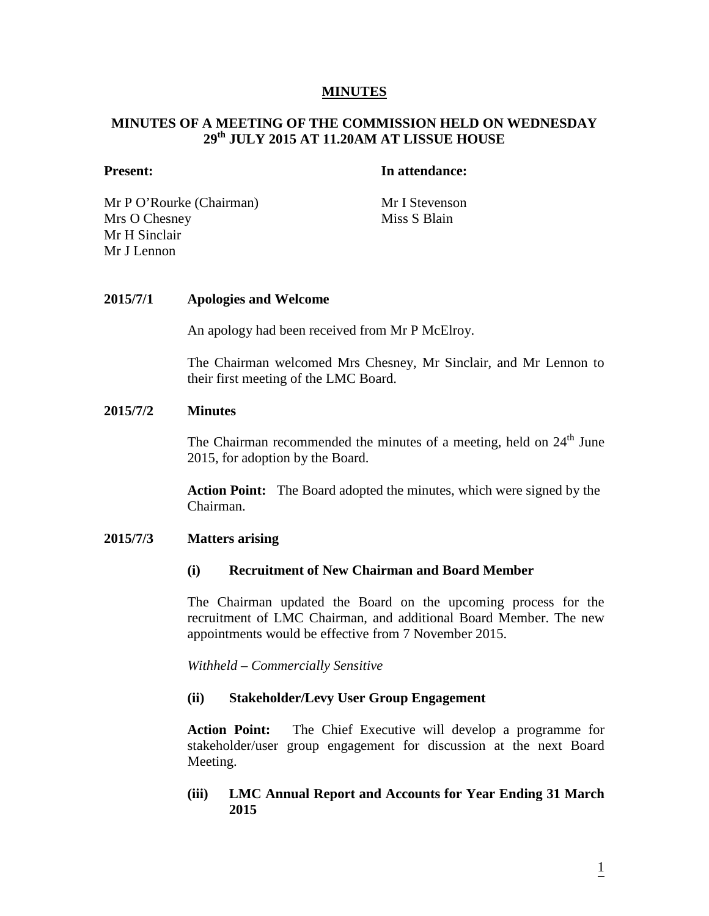#### **MINUTES**

# **MINUTES OF A MEETING OF THE COMMISSION HELD ON WEDNESDAY 29th JULY 2015 AT 11.20AM AT LISSUE HOUSE**

## **Present: In attendance:**

Mr P O'Rourke (Chairman) Mr I Stevenson Mrs O Chesney Mr H Sinclair Mr J Lennon

Miss S Blain

## **2015/7/1 Apologies and Welcome**

An apology had been received from Mr P McElroy.

The Chairman welcomed Mrs Chesney, Mr Sinclair, and Mr Lennon to their first meeting of the LMC Board.

#### **2015/7/2 Minutes**

The Chairman recommended the minutes of a meeting, held on  $24<sup>th</sup>$  June 2015, for adoption by the Board.

**Action Point:** The Board adopted the minutes, which were signed by the Chairman.

#### **2015/7/3 Matters arising**

#### **(i) Recruitment of New Chairman and Board Member**

The Chairman updated the Board on the upcoming process for the recruitment of LMC Chairman, and additional Board Member. The new appointments would be effective from 7 November 2015.

*Withheld – Commercially Sensitive*

#### **(ii) Stakeholder/Levy User Group Engagement**

**Action Point:** The Chief Executive will develop a programme for stakeholder/user group engagement for discussion at the next Board Meeting.

## **(iii) LMC Annual Report and Accounts for Year Ending 31 March 2015**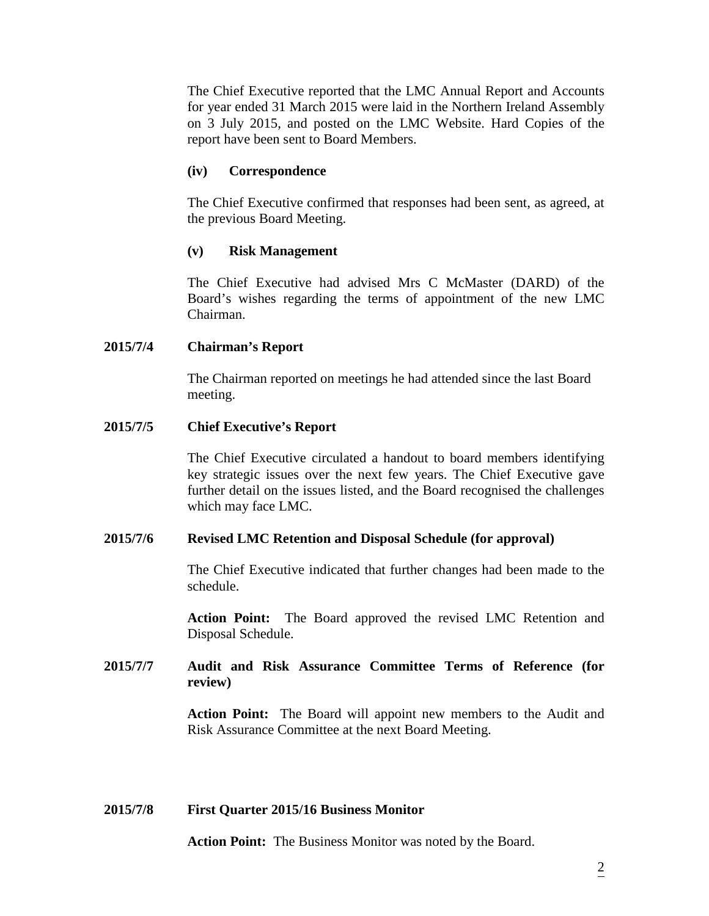The Chief Executive reported that the LMC Annual Report and Accounts for year ended 31 March 2015 were laid in the Northern Ireland Assembly on 3 July 2015, and posted on the LMC Website. Hard Copies of the report have been sent to Board Members.

# **(iv) Correspondence**

The Chief Executive confirmed that responses had been sent, as agreed, at the previous Board Meeting.

## **(v) Risk Management**

The Chief Executive had advised Mrs C McMaster (DARD) of the Board's wishes regarding the terms of appointment of the new LMC Chairman.

## **2015/7/4 Chairman's Report**

The Chairman reported on meetings he had attended since the last Board meeting.

## **2015/7/5 Chief Executive's Report**

The Chief Executive circulated a handout to board members identifying key strategic issues over the next few years. The Chief Executive gave further detail on the issues listed, and the Board recognised the challenges which may face LMC.

## **2015/7/6 Revised LMC Retention and Disposal Schedule (for approval)**

The Chief Executive indicated that further changes had been made to the schedule.

**Action Point:** The Board approved the revised LMC Retention and Disposal Schedule.

# **2015/7/7 Audit and Risk Assurance Committee Terms of Reference (for review)**

**Action Point:** The Board will appoint new members to the Audit and Risk Assurance Committee at the next Board Meeting.

#### **2015/7/8 First Quarter 2015/16 Business Monitor**

**Action Point:** The Business Monitor was noted by the Board.